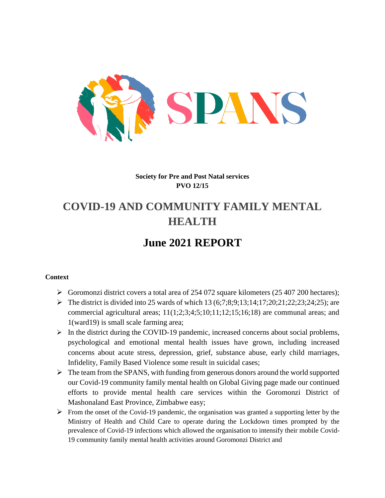

### **Society for Pre and Post Natal services PVO 12/15**

# **COVID-19 AND COMMUNITY FAMILY MENTAL HEALTH**

## **June 2021 REPORT**

#### **Context**

- $\triangleright$  Goromonzi district covers a total area of 254 072 square kilometers (25 407 200 hectares);
- $\triangleright$  The district is divided into 25 wards of which 13 (6;7;8;9;13;14;17;20;21;22;23;24;25); are commercial agricultural areas; 11(1;2;3;4;5;10;11;12;15;16;18) are communal areas; and 1(ward19) is small scale farming area;
- $\triangleright$  In the district during the COVID-19 pandemic, increased concerns about social problems, psychological and emotional mental health issues have grown, including increased concerns about acute stress, depression, grief, substance abuse, early child marriages, Infidelity, Family Based Violence some result in suicidal cases;
- $\triangleright$  The team from the SPANS, with funding from generous donors around the world supported our Covid-19 community family mental health on Global Giving page made our continued efforts to provide mental health care services within the Goromonzi District of Mashonaland East Province, Zimbabwe easy;
- $\triangleright$  From the onset of the Covid-19 pandemic, the organisation was granted a supporting letter by the Ministry of Health and Child Care to operate during the Lockdown times prompted by the prevalence of Covid-19 infections which allowed the organisation to intensify their mobile Covid-19 community family mental health activities around Goromonzi District and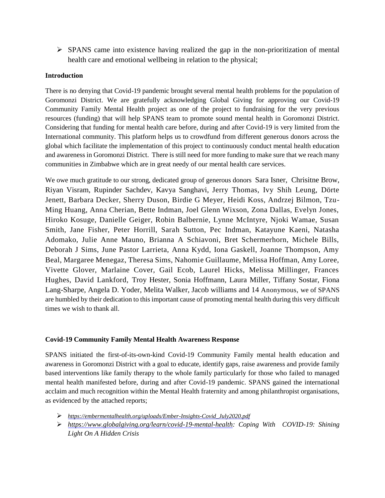$\triangleright$  SPANS came into existence having realized the gap in the non-prioritization of mental health care and emotional wellbeing in relation to the physical;

#### **Introduction**

There is no denying that Covid-19 pandemic brought several mental health problems for the population of Goromonzi District. We are gratefully acknowledging Global Giving for approving our Covid-19 Community Family Mental Health project as one of the project to fundraising for the very previous resources (funding) that will help SPANS team to promote sound mental health in Goromonzi District. Considering that funding for mental health care before, during and after Covid-19 is very limited from the International community. This platform helps us to crowdfund from different generous donors across the global which facilitate the implementation of this project to continuously conduct mental health education and awareness in Goromonzi District. There is still need for more funding to make sure that we reach many communities in Zimbabwe which are in great needy of our mental health care services.

We owe much gratitude to our strong, dedicated group of generous donors Sara Isner, Chrisitne Brow, Riyan Visram, Rupinder Sachdev, Kavya Sanghavi, Jerry Thomas, Ivy Shih Leung, Dörte Jenett, Barbara Decker, Sherry Duson, Birdie G Meyer, Heidi Koss, Andrzej Bilmon, Tzu-Ming Huang, Anna Cherian, Bette Indman, Joel Glenn Wixson, Zona Dallas, Evelyn Jones, Hiroko Kosuge, Danielle Geiger, Robin Balbernie, Lynne McIntyre, Njoki Wamae, Susan Smith, Jane Fisher, Peter Horrill, Sarah Sutton, Pec Indman, Katayune Kaeni, Natasha Adomako, Julie Anne Mauno, Brianna A Schiavoni, Bret Schermerhorn, Michele Bills, Deborah J Sims, June Pastor Larrieta, Anna Kydd, Iona Gaskell, Joanne Thompson, Amy Beal, Margaree Menegaz, Theresa Sims, Nahomie Guillaume, Melissa Hoffman, Amy Loree, Vivette Glover, Marlaine Cover, Gail Ecob, Laurel Hicks, Melissa Millinger, Frances Hughes, David Lankford, Troy Hester, Sonia Hoffmann, Laura Miller, Tiffany Sostar, Fiona Lang-Sharpe, Angela D. Yoder, Melita Walker, Jacob williams and 14 Anonymous, we of SPANS are humbled by their dedication to this important cause of promoting mental health during this very difficult times we wish to thank all.

#### **Covid-19 Community Family Mental Health Awareness Response**

SPANS initiated the first-of-its-own-kind Covid-19 Community Family mental health education and awareness in Goromonzi District with a goal to educate, identify gaps, raise awareness and provide family based interventions like family therapy to the whole family particularly for those who failed to managed mental health manifested before, during and after Covid-19 pandemic. SPANS gained the international acclaim and much recognition within the Mental Health fraternity and among philanthropist organisations, as evidenced by the attached reports;

- *[https://embermentalhealth.org/uploads/Ember-Insights-Covid\\_July2020.pdf](https://www.google.com/url?q=https%3A%2F%2Fembermentalhealth.org%2Fuploads%2FEmber-Insights-Covid_July2020.pdf&sa=D&sntz=1&usg=AFQjCNGRrBALNmPH7GJAlVQKkPmoERuD2Q)*
- *[https://www.globalgiving.org/learn/covid-19-mental-health:](https://www.google.com/url?q=https%3A%2F%2Fwww.globalgiving.org%2Flearn%2Fcovid-19-mental-health&sa=D&sntz=1&usg=AFQjCNGVP5Fj-bJ1jF6QSJATKqancjxIiA) Coping With COVID-19: Shining Light On A Hidden Crisis*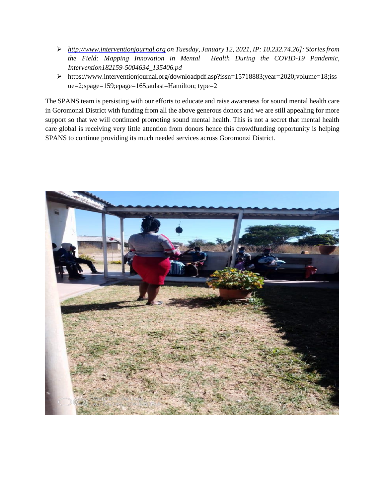- *[http://www.interventionjournal.org](http://www.google.com/url?q=http%3A%2F%2Fwww.interventionjournal.org&sa=D&sntz=1&usg=AFQjCNHkxOLkR8gMxdL-mFjlY4z2map-cA) on Tuesday, January 12, 2021, IP: 10.232.74.26]: Stories from the Field: Mapping Innovation in Mental Health During the COVID-19 Pandemic, Intervention182159-5004634\_135406.pd*
- https://www.interventionjournal.org/downloadpdf.asp?issn=157[18883;year=2020;volume=18;iss](https://www.interventionjournal.org/downloadpdf.asp?issn=1571-8883;year=2020;volume=18;issue=2;spage=159;epage=165;aulast=Hamilton;type) [ue=2;spage=159;epage=165;aulast=Hamilton; type=](https://www.interventionjournal.org/downloadpdf.asp?issn=1571-8883;year=2020;volume=18;issue=2;spage=159;epage=165;aulast=Hamilton;type)2

The SPANS team is persisting with our efforts to educate and raise awareness for sound mental health care in Goromonzi District with funding from all the above generous donors and we are still appealing for more support so that we will continued promoting sound mental health. This is not a secret that mental health care global is receiving very little attention from donors hence this crowdfunding opportunity is helping SPANS to continue providing its much needed services across Goromonzi District.